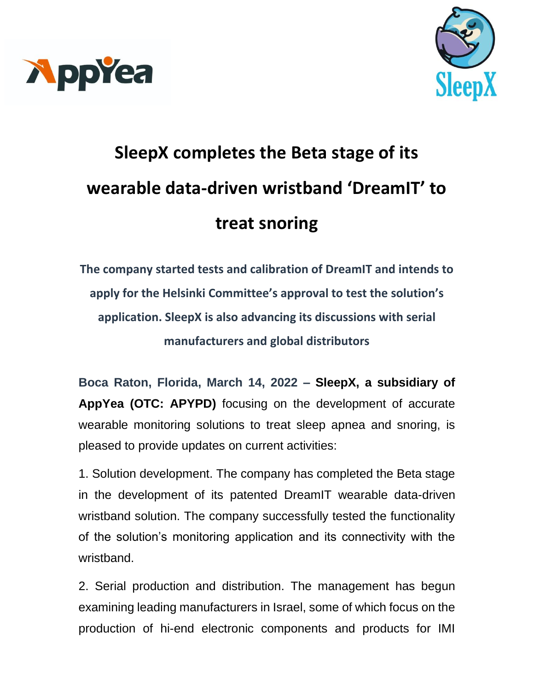



## **SleepX completes the Beta stage of its wearable data-driven wristband 'DreamIT' to treat snoring**

**The company started tests and calibration of DreamIT and intends to apply for the Helsinki Committee's approval to test the solution's application. SleepX is also advancing its discussions with serial manufacturers and global distributors**

**Boca Raton, Florida, March 14, 2022 – SleepX, a subsidiary of AppYea (OTC: APYPD)** focusing on the development of accurate wearable monitoring solutions to treat sleep apnea and snoring, is pleased to provide updates on current activities:

1. Solution development. The company has completed the Beta stage in the development of its patented DreamIT wearable data-driven wristband solution. The company successfully tested the functionality of the solution's monitoring application and its connectivity with the wristband.

2. Serial production and distribution. The management has begun examining leading manufacturers in Israel, some of which focus on the production of hi-end electronic components and products for IMI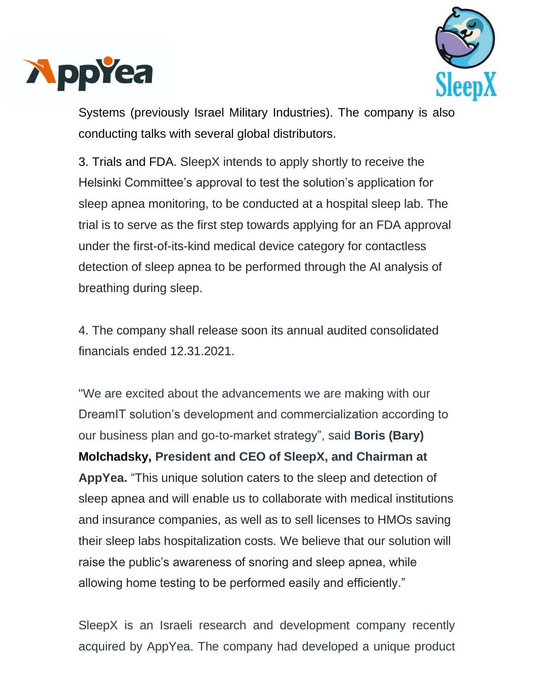



Systems (previously Israel Military Industries). The company is also conducting talks with several global distributors.

3. Trials and FDA. SleepX intends to apply shortly to receive the Helsinki Committee's approval to test the solution's application for sleep apnea monitoring, to be conducted at a hospital sleep lab. The trial is to serve as the first step towards applying for an FDA approval under the first-of-its-kind medical device category for contactless detection of sleep apnea to be performed through the AI analysis of breathing during sleep.

4. The company shall release soon its annual audited consolidated financials ended 12.31.2021.

"We are excited about the advancements we are making with our DreamIT solution's development and commercialization according to our business plan and go-to-market strategy", said **Boris (Bary) Molchadsky, President and CEO of SleepX, and Chairman at AppYea.** "This unique solution caters to the sleep and detection of sleep apnea and will enable us to collaborate with medical institutions and insurance companies, as well as to sell licenses to HMOs saving their sleep labs hospitalization costs. We believe that our solution will raise the public's awareness of snoring and sleep apnea, while allowing home testing to be performed easily and efficiently."

SleepX is an Israeli research and development company recently acquired by AppYea. The company had developed a unique product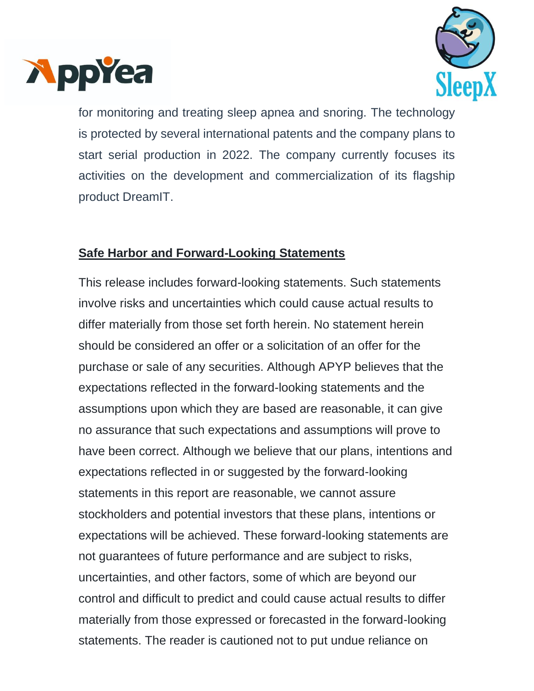



for monitoring and treating sleep apnea and snoring. The technology is protected by several international patents and the company plans to start serial production in 2022. The company currently focuses its activities on the development and commercialization of its flagship product DreamIT.

## **Safe Harbor and Forward-Looking Statements**

This release includes forward-looking statements. Such statements involve risks and uncertainties which could cause actual results to differ materially from those set forth herein. No statement herein should be considered an offer or a solicitation of an offer for the purchase or sale of any securities. Although APYP believes that the expectations reflected in the forward-looking statements and the assumptions upon which they are based are reasonable, it can give no assurance that such expectations and assumptions will prove to have been correct. Although we believe that our plans, intentions and expectations reflected in or suggested by the forward-looking statements in this report are reasonable, we cannot assure stockholders and potential investors that these plans, intentions or expectations will be achieved. These forward-looking statements are not guarantees of future performance and are subject to risks, uncertainties, and other factors, some of which are beyond our control and difficult to predict and could cause actual results to differ materially from those expressed or forecasted in the forward-looking statements. The reader is cautioned not to put undue reliance on